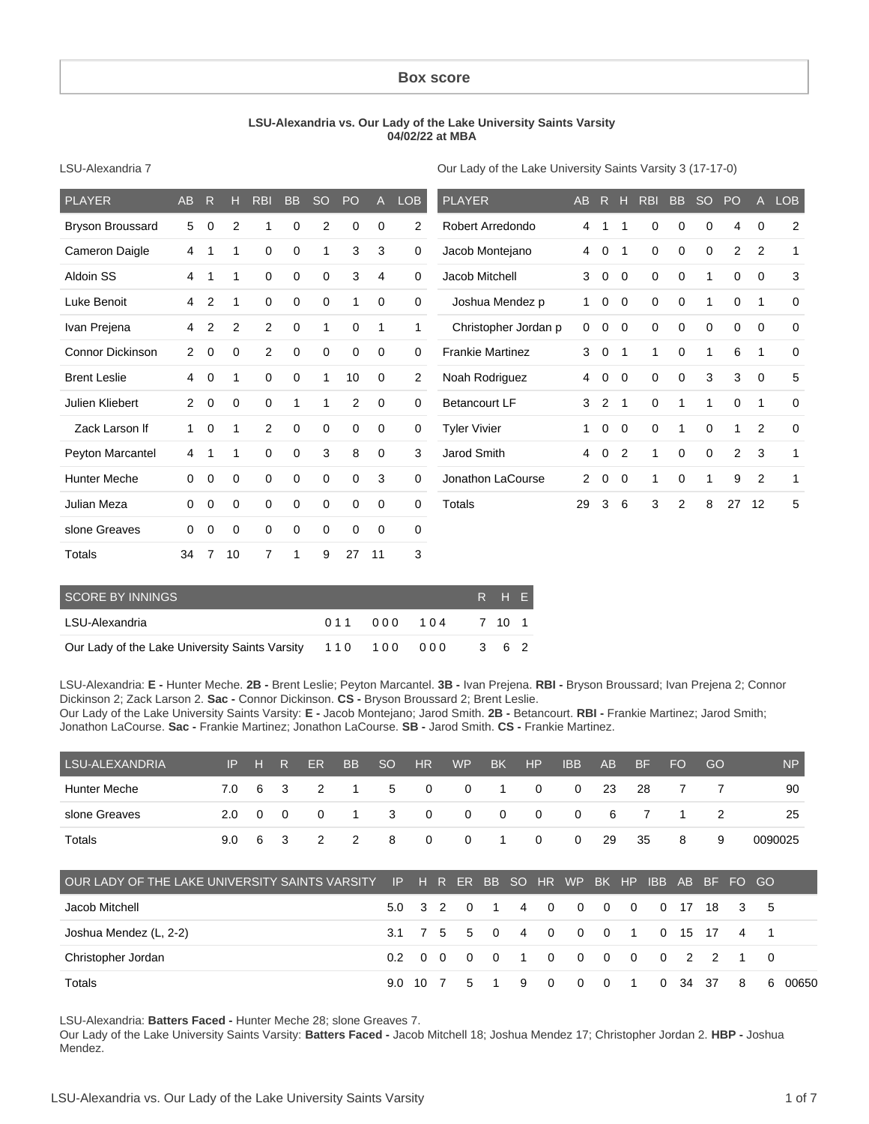#### **Box score**

#### **LSU-Alexandria vs. Our Lady of the Lake University Saints Varsity 04/02/22 at MBA**

LSU-Alexandria 7

Our Lady of the Lake University Saints Varsity 3 (17-17-0)

| PLAYER                  | AB             | R           | н              | <b>RBI</b>     | <b>BB</b>   | <b>SO</b>    | PO             | A           | <b>LOB</b>     | <b>PLAYER</b>           | <b>AB</b>            | R              | н              | <b>RBI</b>  | <b>BB</b>   | <sub>SO</sub> | PO             | $\mathsf{A}$   | <b>LOB</b>   |
|-------------------------|----------------|-------------|----------------|----------------|-------------|--------------|----------------|-------------|----------------|-------------------------|----------------------|----------------|----------------|-------------|-------------|---------------|----------------|----------------|--------------|
| <b>Bryson Broussard</b> | 5              | 0           | $\overline{2}$ |                | 0           | 2            | 0              | 0           | $\overline{2}$ | Robert Arredondo        | 4                    | 1              | 1              | 0           | 0           | 0             | 4              | 0              | 2            |
| Cameron Daigle          | 4              | 1           | 1              | 0              | 0           | 1            | 3              | 3           | 0              | Jacob Montejano         | 4                    | 0              | -1             | $\mathbf 0$ | $\mathbf 0$ | 0             | $\overline{2}$ | 2              | $\mathbf{1}$ |
| Aldoin SS               | 4              | 1           | 1              | 0              | 0           | $\mathbf 0$  | 3              | 4           | $\mathbf 0$    | Jacob Mitchell          | 3                    | $\mathbf 0$    | $\mathbf 0$    | 0           | 0           | 1             | $\Omega$       | $\mathbf 0$    | 3            |
| Luke Benoit             | 4              | 2           | 1              | 0              | 0           | 0            | 1              | 0           | 0              | Joshua Mendez p         | 1.                   | 0              | $\mathbf 0$    | $\mathbf 0$ | 0           | 1             | $\Omega$       | 1              | $\mathbf 0$  |
| Ivan Prejena            | 4              | 2           | 2              | 2              | 0           | 1            | 0              | 1           | 1              | Christopher Jordan p    | $\mathbf 0$          | 0              | $\mathbf 0$    | 0           | 0           | 0             | 0              | 0              | $\mathbf 0$  |
| <b>Connor Dickinson</b> | $\overline{2}$ | $\mathbf 0$ | $\mathbf 0$    | $\overline{2}$ | $\mathbf 0$ | $\mathbf 0$  | $\mathbf 0$    | $\mathbf 0$ | 0              | <b>Frankie Martinez</b> | 3                    | 0              | $\mathbf 1$    | 1           | $\mathbf 0$ | 1             | 6              | $\mathbf{1}$   | $\mathbf 0$  |
| <b>Brent Leslie</b>     | 4              | 0           | 1              | 0              | 0           | $\mathbf{1}$ | 10             | $\mathbf 0$ | $\overline{2}$ | Noah Rodriguez          | 4                    | 0              | $\mathbf 0$    | 0           | 0           | 3             | 3              | $\mathbf 0$    | 5            |
| Julien Kliebert         | $\overline{2}$ | 0           | 0              | 0              | 1           | 1            | $\overline{2}$ | $\mathbf 0$ | 0              | <b>Betancourt LF</b>    | 3                    | $\overline{2}$ | $\overline{1}$ | $\mathbf 0$ | 1           | 1             | 0              | $\mathbf{1}$   | $\mathbf 0$  |
| Zack Larson If          | $\mathbf{1}$   | 0           | 1              | $\overline{2}$ | 0           | $\mathbf 0$  | 0              | $\mathbf 0$ | 0              | <b>Tyler Vivier</b>     | 1                    | $\mathbf 0$    | $\mathbf 0$    | $\mathbf 0$ | 1           | 0             |                | 2              | $\mathbf 0$  |
| Peyton Marcantel        | 4              | 1           | 1              | $\mathbf 0$    | $\mathbf 0$ | 3            | 8              | $\mathbf 0$ | 3              | Jarod Smith             | 4                    | $\mathbf 0$    | $\overline{2}$ | 1           | $\mathbf 0$ | $\mathbf 0$   | $\overline{2}$ | 3              | $\mathbf 1$  |
| <b>Hunter Meche</b>     | 0              | 0           | 0              | $\mathbf 0$    | 0           | 0            | 0              | 3           | 0              | Jonathon LaCourse       | $\mathbf{2}^{\circ}$ | 0              | $\mathbf 0$    | 1           | 0           | 1             | 9              | $\overline{2}$ | 1            |
| Julian Meza             | 0              | $\mathbf 0$ | $\mathbf 0$    | $\mathbf 0$    | $\mathbf 0$ | $\mathbf 0$  | $\mathbf 0$    | $\mathbf 0$ | 0              | Totals                  | 29                   | 3              | 6              | 3           | 2           | 8             | 27             | 12             | 5            |
| slone Greaves           | 0              | 0           | 0              | $\mathbf 0$    | $\mathbf 0$ | 0            | $\mathbf 0$    | 0           | 0              |                         |                      |                |                |             |             |               |                |                |              |
| Totals                  | 34             | 7           | 10             | 7              | 1           | 9            | 27             | 11          | 3              |                         |                      |                |                |             |             |               |                |                |              |

| SCORE BY INNINGS                                           |  |  |                           |  |       |  |  |  |  |  |  |  |
|------------------------------------------------------------|--|--|---------------------------|--|-------|--|--|--|--|--|--|--|
| LSU-Alexandria                                             |  |  | 0.1.1 0.0.0 1.0.4 7 1.0 1 |  |       |  |  |  |  |  |  |  |
| Our Lady of the Lake University Saints Varsity 110 100 000 |  |  |                           |  | 3 6 2 |  |  |  |  |  |  |  |

LSU-Alexandria: **E -** Hunter Meche. **2B -** Brent Leslie; Peyton Marcantel. **3B -** Ivan Prejena. **RBI -** Bryson Broussard; Ivan Prejena 2; Connor Dickinson 2; Zack Larson 2. **Sac -** Connor Dickinson. **CS -** Bryson Broussard 2; Brent Leslie.

Our Lady of the Lake University Saints Varsity: **E -** Jacob Montejano; Jarod Smith. **2B -** Betancourt. **RBI -** Frankie Martinez; Jarod Smith; Jonathon LaCourse. **Sac -** Frankie Martinez; Jonathon LaCourse. **SB -** Jarod Smith. **CS -** Frankie Martinez.

| LSU-ALEXANDRIA | IP | TH | R. | ER.         | BB | - SO | <b>HR</b> | <b>WP</b> | <b>BK</b>    | HP             | IBB <sup>1</sup> | AB           | -BF  | FO. | GO | N <sub>P</sub> |
|----------------|----|----|----|-------------|----|------|-----------|-----------|--------------|----------------|------------------|--------------|------|-----|----|----------------|
| Hunter Meche   |    |    |    | 7.0 6 3 2   |    |      |           | 1 5 0 0 1 |              | $\overline{0}$ |                  | $0\qquad 23$ | -28  |     |    | 90             |
| slone Greaves  |    |    |    | 2.0 0 0 0   |    |      |           | 1 3 0 0 0 |              | $\overline{0}$ | 0 6 7 1          |              |      |     |    | 25             |
| Totals         |    |    |    | 9.0 6 3 2 2 |    |      | 8 0       |           | $0 \qquad 1$ | $\overline{0}$ |                  | $0\qquad 29$ | - 35 | -8  | 9  | 0090025        |

| LOUR LADY OF THE LAKE UNIVERSITY SAINTS VARSITY IP HR ER BBSOHR WPBK HPIBBABBF FOGO |  |  |  |                                   |  |  |  |         |
|-------------------------------------------------------------------------------------|--|--|--|-----------------------------------|--|--|--|---------|
| Jacob Mitchell                                                                      |  |  |  | 5.0 3 2 0 1 4 0 0 0 0 0 17 18 3 5 |  |  |  |         |
| Joshua Mendez (L, 2-2)                                                              |  |  |  | 3.1 7 5 5 0 4 0 0 0 1 0 15 17 4 1 |  |  |  |         |
| Christopher Jordan                                                                  |  |  |  | 0.2 0 0 0 0 1 0 0 0 0 0 0 2 2 1 0 |  |  |  |         |
| Totals                                                                              |  |  |  | 9.0 10 7 5 1 9 0 0 0 1 0 34 37 8  |  |  |  | 6 00650 |

LSU-Alexandria: **Batters Faced -** Hunter Meche 28; slone Greaves 7.

Our Lady of the Lake University Saints Varsity: **Batters Faced -** Jacob Mitchell 18; Joshua Mendez 17; Christopher Jordan 2. **HBP -** Joshua Mendez.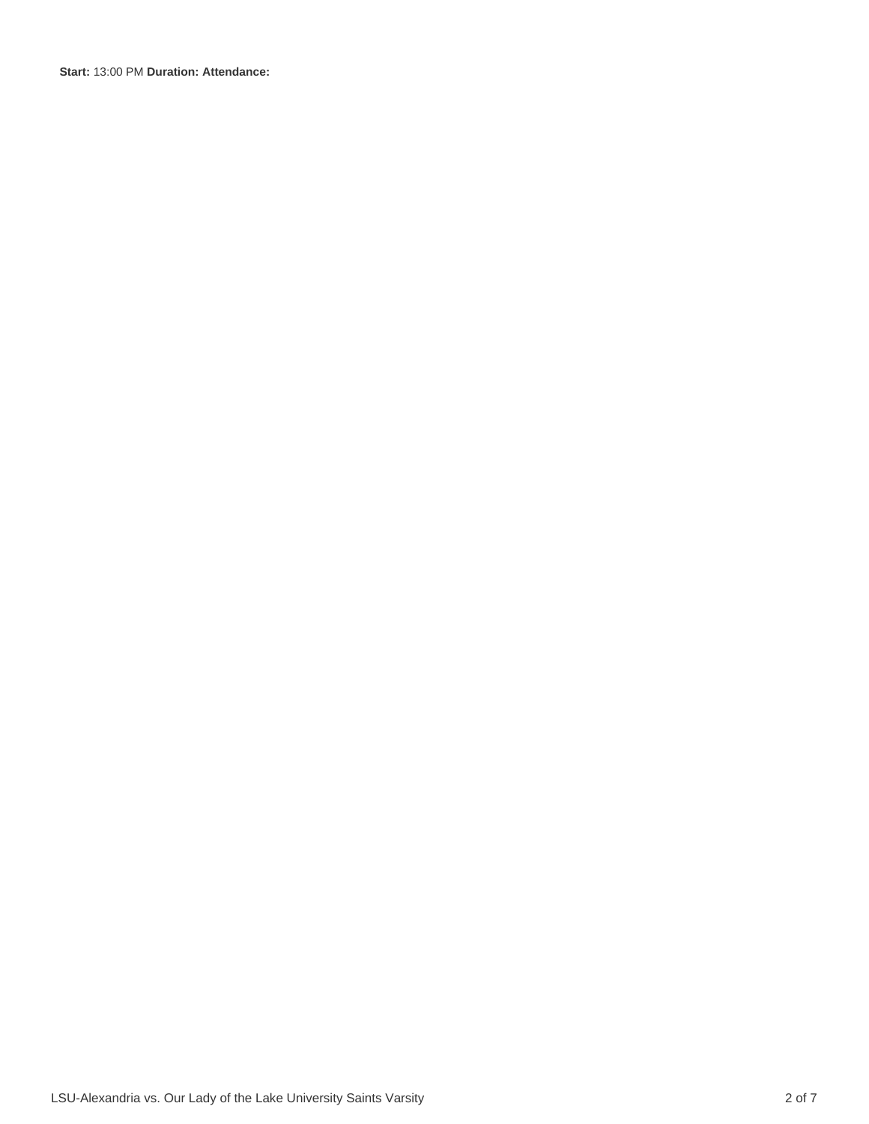**Start:** 13:00 PM **Duration: Attendance:**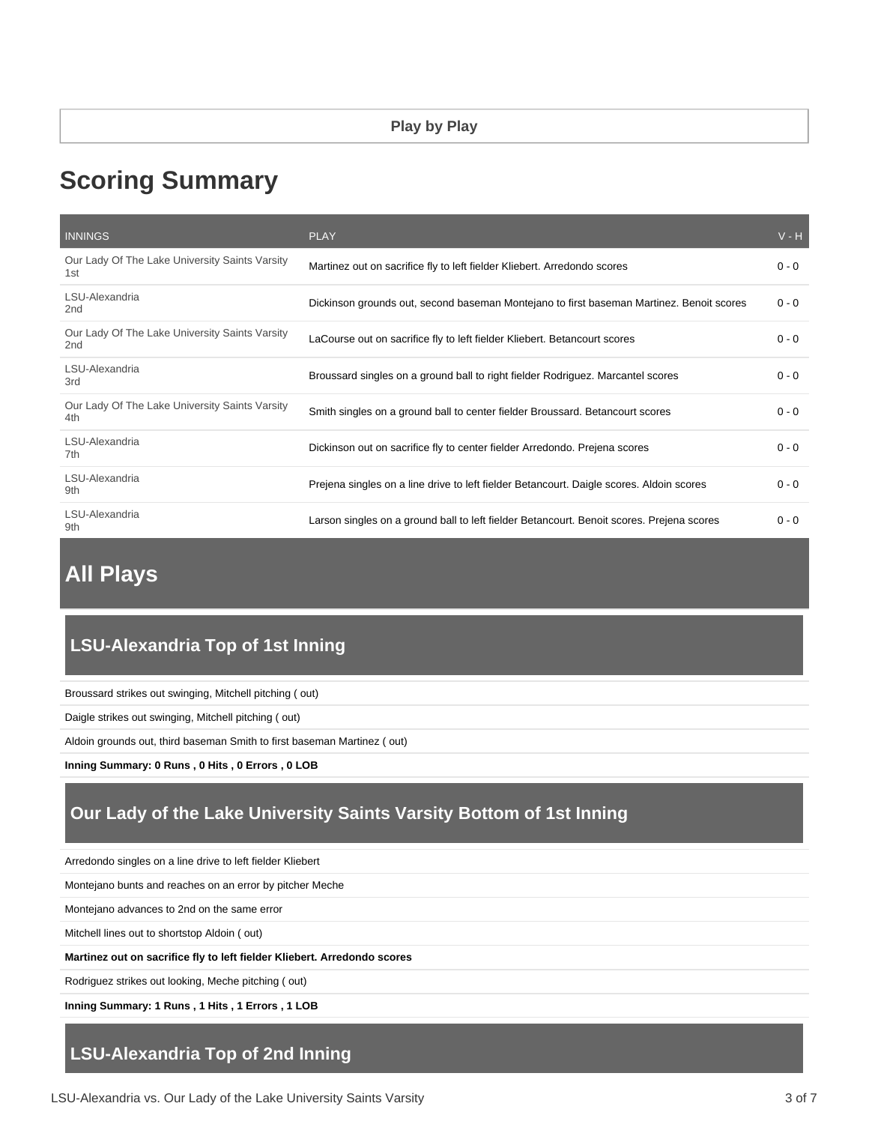# **Scoring Summary**

| <b>INNINGS</b>                                                    | <b>PLAY</b>                                                                               | $V - H$ |
|-------------------------------------------------------------------|-------------------------------------------------------------------------------------------|---------|
| Our Lady Of The Lake University Saints Varsity<br>1st             | Martinez out on sacrifice fly to left fielder Kliebert. Arredondo scores                  | $0 - 0$ |
| LSU-Alexandria<br>2nd                                             | Dickinson grounds out, second baseman Montejano to first baseman Martinez. Benoit scores  | $0 - 0$ |
| Our Lady Of The Lake University Saints Varsity<br>2 <sub>nd</sub> | LaCourse out on sacrifice fly to left fielder Kliebert. Betancourt scores                 | $0 - 0$ |
| LSU-Alexandria<br>3rd                                             | Broussard singles on a ground ball to right fielder Rodriguez. Marcantel scores           | $0 - 0$ |
| Our Lady Of The Lake University Saints Varsity<br>4th             | Smith singles on a ground ball to center fielder Broussard. Betancourt scores             | $0 - 0$ |
| LSU-Alexandria<br>7th                                             | Dickinson out on sacrifice fly to center fielder Arredondo. Prejena scores                | $0 - 0$ |
| LSU-Alexandria<br>9th                                             | Prejena singles on a line drive to left fielder Betancourt. Daigle scores. Aldoin scores  | $0 - 0$ |
| LSU-Alexandria<br>9th                                             | Larson singles on a ground ball to left fielder Betancourt. Benoit scores. Prejena scores | $0 - 0$ |

# **All Plays**

# **LSU-Alexandria Top of 1st Inning**

Broussard strikes out swinging, Mitchell pitching ( out)

Daigle strikes out swinging, Mitchell pitching ( out)

Aldoin grounds out, third baseman Smith to first baseman Martinez ( out)

**Inning Summary: 0 Runs , 0 Hits , 0 Errors , 0 LOB**

# **Our Lady of the Lake University Saints Varsity Bottom of 1st Inning**

Arredondo singles on a line drive to left fielder Kliebert

Montejano bunts and reaches on an error by pitcher Meche

Montejano advances to 2nd on the same error

Mitchell lines out to shortstop Aldoin ( out)

**Martinez out on sacrifice fly to left fielder Kliebert. Arredondo scores**

Rodriguez strikes out looking, Meche pitching ( out)

**Inning Summary: 1 Runs , 1 Hits , 1 Errors , 1 LOB**

### **LSU-Alexandria Top of 2nd Inning**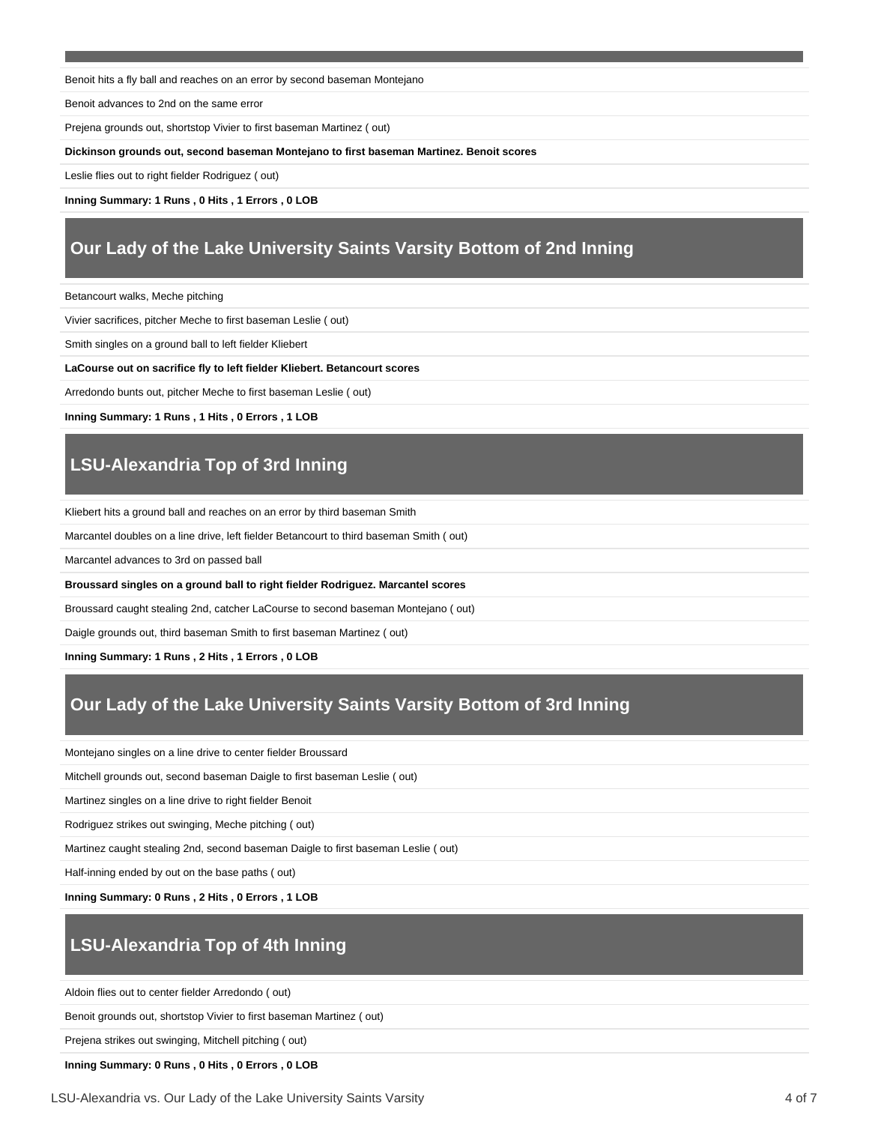Benoit hits a fly ball and reaches on an error by second baseman Montejano

Benoit advances to 2nd on the same error

Prejena grounds out, shortstop Vivier to first baseman Martinez ( out)

#### **Dickinson grounds out, second baseman Montejano to first baseman Martinez. Benoit scores**

Leslie flies out to right fielder Rodriguez ( out)

**Inning Summary: 1 Runs , 0 Hits , 1 Errors , 0 LOB**

# **Our Lady of the Lake University Saints Varsity Bottom of 2nd Inning**

Betancourt walks, Meche pitching

Vivier sacrifices, pitcher Meche to first baseman Leslie ( out)

Smith singles on a ground ball to left fielder Kliebert

#### **LaCourse out on sacrifice fly to left fielder Kliebert. Betancourt scores**

Arredondo bunts out, pitcher Meche to first baseman Leslie ( out)

**Inning Summary: 1 Runs , 1 Hits , 0 Errors , 1 LOB**

# **LSU-Alexandria Top of 3rd Inning**

Kliebert hits a ground ball and reaches on an error by third baseman Smith

Marcantel doubles on a line drive, left fielder Betancourt to third baseman Smith ( out)

Marcantel advances to 3rd on passed ball

**Broussard singles on a ground ball to right fielder Rodriguez. Marcantel scores**

Broussard caught stealing 2nd, catcher LaCourse to second baseman Montejano ( out)

Daigle grounds out, third baseman Smith to first baseman Martinez ( out)

**Inning Summary: 1 Runs , 2 Hits , 1 Errors , 0 LOB**

# **Our Lady of the Lake University Saints Varsity Bottom of 3rd Inning**

Montejano singles on a line drive to center fielder Broussard

Mitchell grounds out, second baseman Daigle to first baseman Leslie ( out)

Martinez singles on a line drive to right fielder Benoit

Rodriguez strikes out swinging, Meche pitching ( out)

Martinez caught stealing 2nd, second baseman Daigle to first baseman Leslie ( out)

Half-inning ended by out on the base paths ( out)

**Inning Summary: 0 Runs , 2 Hits , 0 Errors , 1 LOB**

# **LSU-Alexandria Top of 4th Inning**

Aldoin flies out to center fielder Arredondo ( out)

Benoit grounds out, shortstop Vivier to first baseman Martinez ( out)

Prejena strikes out swinging, Mitchell pitching ( out)

**Inning Summary: 0 Runs , 0 Hits , 0 Errors , 0 LOB**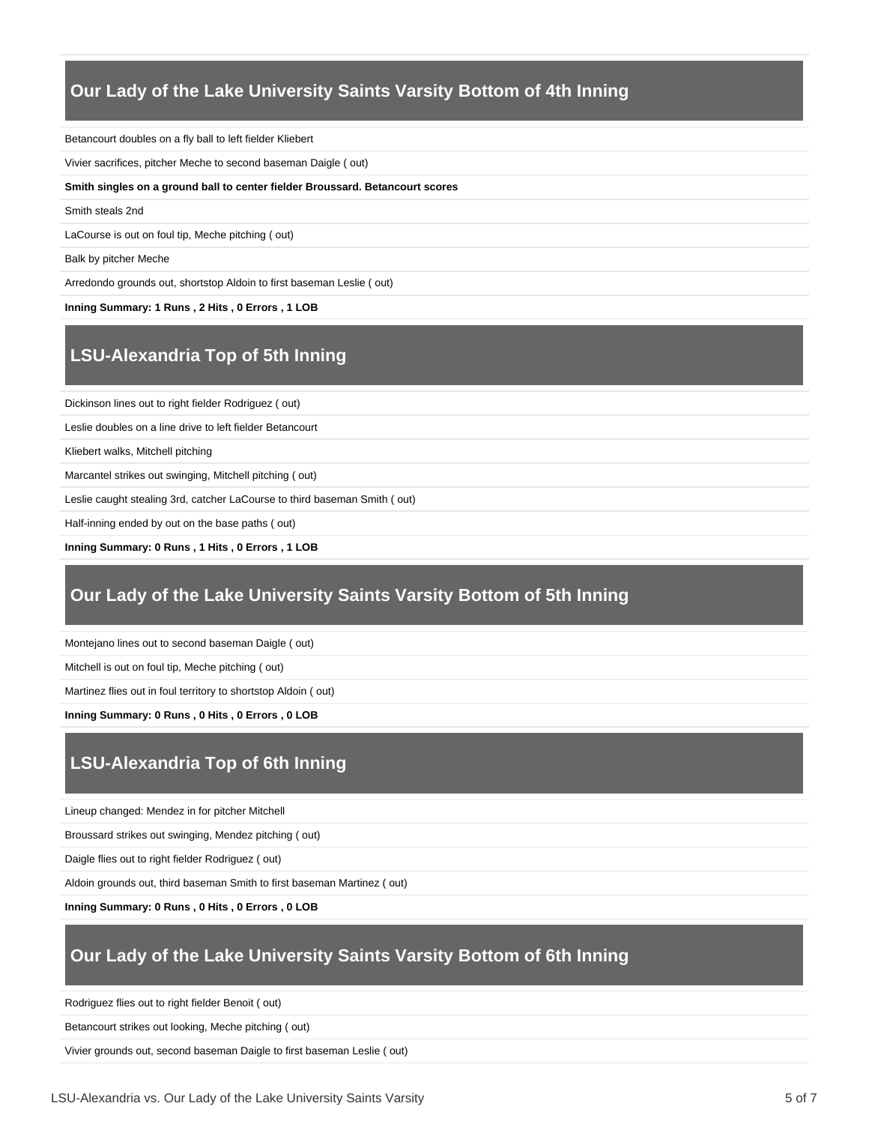### **Our Lady of the Lake University Saints Varsity Bottom of 4th Inning**

Betancourt doubles on a fly ball to left fielder Kliebert

Vivier sacrifices, pitcher Meche to second baseman Daigle ( out)

**Smith singles on a ground ball to center fielder Broussard. Betancourt scores**

Smith steals 2nd

LaCourse is out on foul tip, Meche pitching ( out)

Balk by pitcher Meche

Arredondo grounds out, shortstop Aldoin to first baseman Leslie ( out)

**Inning Summary: 1 Runs , 2 Hits , 0 Errors , 1 LOB**

# **LSU-Alexandria Top of 5th Inning**

Dickinson lines out to right fielder Rodriguez ( out)

Leslie doubles on a line drive to left fielder Betancourt

Kliebert walks, Mitchell pitching

Marcantel strikes out swinging, Mitchell pitching ( out)

Leslie caught stealing 3rd, catcher LaCourse to third baseman Smith ( out)

Half-inning ended by out on the base paths ( out)

**Inning Summary: 0 Runs , 1 Hits , 0 Errors , 1 LOB**

### **Our Lady of the Lake University Saints Varsity Bottom of 5th Inning**

Montejano lines out to second baseman Daigle ( out)

Mitchell is out on foul tip, Meche pitching ( out)

Martinez flies out in foul territory to shortstop Aldoin ( out)

**Inning Summary: 0 Runs , 0 Hits , 0 Errors , 0 LOB**

# **LSU-Alexandria Top of 6th Inning**

Lineup changed: Mendez in for pitcher Mitchell

Broussard strikes out swinging, Mendez pitching ( out)

Daigle flies out to right fielder Rodriguez ( out)

Aldoin grounds out, third baseman Smith to first baseman Martinez ( out)

**Inning Summary: 0 Runs , 0 Hits , 0 Errors , 0 LOB**

### **Our Lady of the Lake University Saints Varsity Bottom of 6th Inning**

Rodriguez flies out to right fielder Benoit ( out)

Betancourt strikes out looking, Meche pitching ( out)

Vivier grounds out, second baseman Daigle to first baseman Leslie ( out)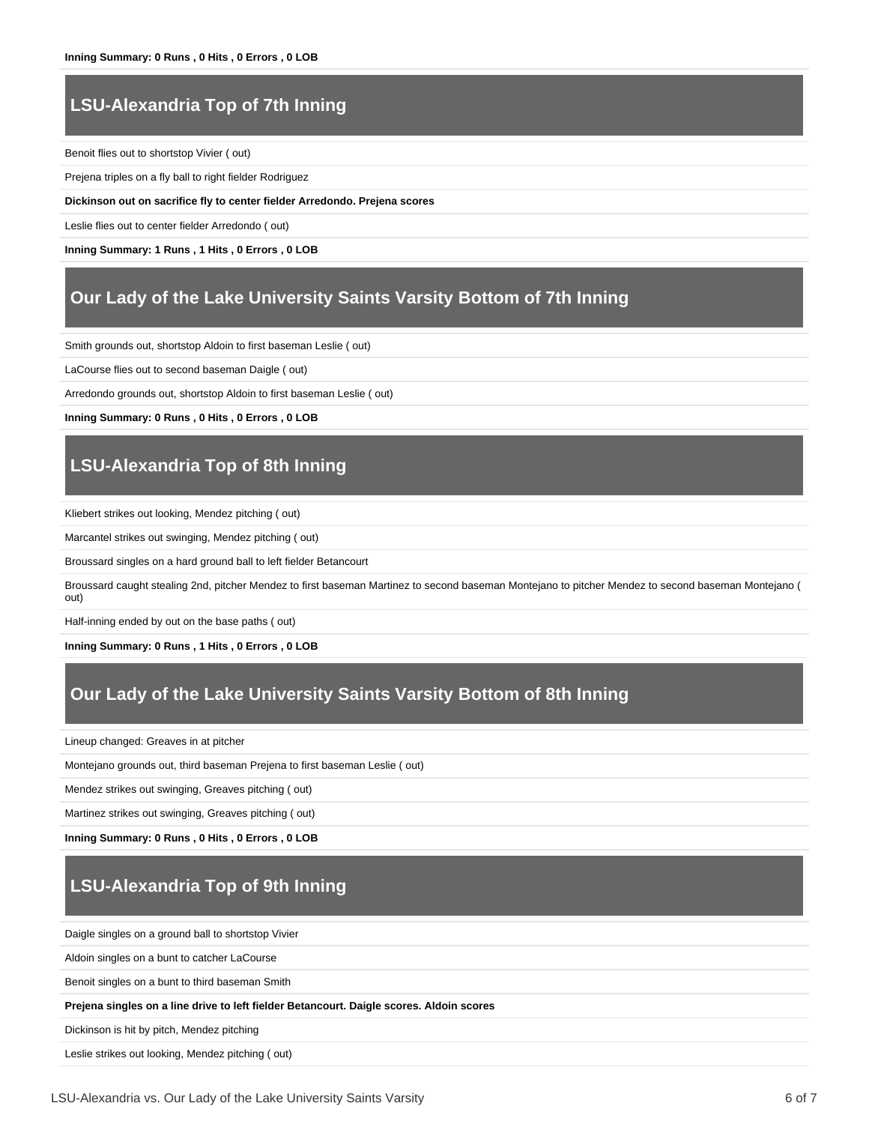# **LSU-Alexandria Top of 7th Inning**

Benoit flies out to shortstop Vivier ( out)

Prejena triples on a fly ball to right fielder Rodriguez

**Dickinson out on sacrifice fly to center fielder Arredondo. Prejena scores**

Leslie flies out to center fielder Arredondo ( out)

**Inning Summary: 1 Runs , 1 Hits , 0 Errors , 0 LOB**

### **Our Lady of the Lake University Saints Varsity Bottom of 7th Inning**

Smith grounds out, shortstop Aldoin to first baseman Leslie ( out)

LaCourse flies out to second baseman Daigle ( out)

Arredondo grounds out, shortstop Aldoin to first baseman Leslie ( out)

**Inning Summary: 0 Runs , 0 Hits , 0 Errors , 0 LOB**

# **LSU-Alexandria Top of 8th Inning**

Kliebert strikes out looking, Mendez pitching ( out)

Marcantel strikes out swinging, Mendez pitching ( out)

Broussard singles on a hard ground ball to left fielder Betancourt

Broussard caught stealing 2nd, pitcher Mendez to first baseman Martinez to second baseman Montejano to pitcher Mendez to second baseman Montejano ( out)

Half-inning ended by out on the base paths ( out)

**Inning Summary: 0 Runs , 1 Hits , 0 Errors , 0 LOB**

## **Our Lady of the Lake University Saints Varsity Bottom of 8th Inning**

Lineup changed: Greaves in at pitcher

Montejano grounds out, third baseman Prejena to first baseman Leslie ( out)

Mendez strikes out swinging, Greaves pitching ( out)

Martinez strikes out swinging, Greaves pitching ( out)

**Inning Summary: 0 Runs , 0 Hits , 0 Errors , 0 LOB**

# **LSU-Alexandria Top of 9th Inning**

Daigle singles on a ground ball to shortstop Vivier

Aldoin singles on a bunt to catcher LaCourse

Benoit singles on a bunt to third baseman Smith

**Prejena singles on a line drive to left fielder Betancourt. Daigle scores. Aldoin scores**

Dickinson is hit by pitch, Mendez pitching

Leslie strikes out looking, Mendez pitching ( out)